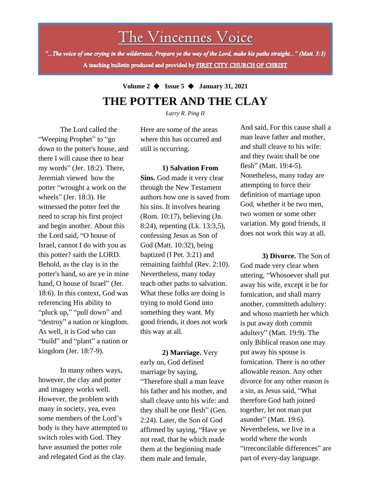# The Vincennes Voice

"...The voice of one crying in the wilderness, Prepare ye the way of the Lord, make his paths straight..." (Matt. 3:3) A teaching bulletin produced and provided by FIRST CITY CHURCH OF CHRIST

## **Volume 2** ◆ **Issue 5** ◆ **January 31, 2021 THE POTTER AND THE CLAY**

*Larry R. Ping II*

The Lord called the "Weeping Prophet" to "go down to the potter's house, and there I will cause thee to hear my words" (Jer. 18:2). There, Jeremiah viewed how the potter "wrought a work on the wheels" (Jer. 18:3). He witnessed the potter feel the need to scrap his first project and begin another. About this the Lord said, "O house of Israel, cannot I do with you as this potter? saith the LORD. Behold, as the clay is in the potter's hand, so are ye in mine hand, O house of Israel" (Jer. 18:6). In this context, God was referencing His ability to "pluck up," "pull down" and "destroy" a nation or kingdom. As well, it is God who can "build" and "plant" a nation or kingdom (Jer. 18:7-9).

some members of the Lord's In many others ways, however, the clay and potter and imagery works well. However, the problem with many in society, yea, even body is they have attempted to switch roles with God. They have assumed the potter role and relegated God as the clay.

Here are some of the areas where this has occurred and still is occurring.

**1) Salvation From Sins.** God made it very clear through the New Testament authors how one is saved from his sins. It involves hearing (Rom. 10:17), believing (Jn. 8:24), repenting (Lk. 13:3,5), confessing Jesus as Son of God (Matt. 10:32), being baptized (I Pet. 3:21) and remaining faithful (Rev. 2:10). Nevertheless, many today teach other paths to salvation. What these folks are doing is trying to mold Gond into something they want. My good friends, it does not work this way at all.

**2) Marriage.** Very early on, God defined marriage by saying, "Therefore shall a man leave his father and his mother, and shall cleave unto his wife: and they shall be one flesh" (Gen. 2:24). Later, the Son of God affirmed by saying, "Have ye not read, that he which made them at the beginning made them male and female,

And said, For this cause shall a man leave father and mother, and shall cleave to his wife: and they twain shall be one flesh" (Matt. 19:4-5). Nonetheless, many today are attempting to force their definition of marriage upon God, whether it be two men, two women or some other variation. My good friends, it does not work this way at all.

**3) Divorce.** The Son of God made very clear when uttering, "Whosoever shall put away his wife, except it be for fornication, and shall marry another, committeth adultery: and whoso marrieth her which is put away doth commit adultery" (Matt. 19:9). The only Biblical reason one may put away his spouse is fornication. There is no other allowable reason. Any other divorce for any other reason is a sin, as Jesus said, "What therefore God hath joined together, let not man put asunder" (Matt. 19:6). Nevertheless, we live in a world where the words "irreconcilable differences" are part of every-day language.